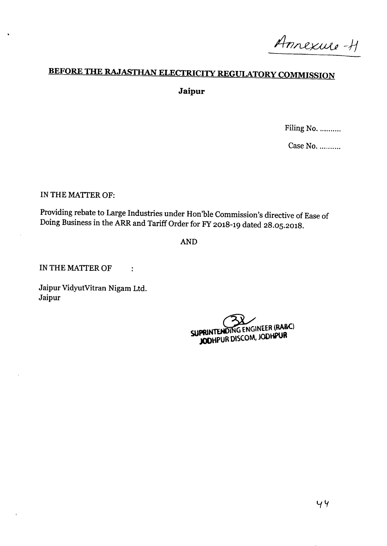Annexure-H

# **BEFORE THE RAJASTHAN ELECTRICIlY REGUlATORY COMMISSION Jaipur**

Filing No. ..........

Case No. ..........

IN THE MATTER OF:

Providing rebate to Large Industries under Hon'ble Commission's directive of Ease of Doing Business in the ARR and Tariff Order for FY 2018-19 dated 28.05.2018.

AND

IN THE MATTER OF

Jaipur VidyutVitran Nigam Ltd. Jaipur

 $\ddot{\cdot}$ 

SUPRINTENDING ENGINEER (RA&C) **SU JODHPUR DlSCQM, JODHPUR**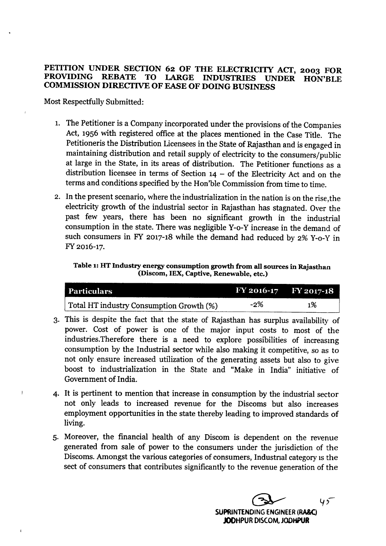# PETITION UNDER SECTION 62 OF THE ELECTRICITY ACT, 2003 FOR PROVIDING REBATE TO LARGE INDUSTRIES UNDER HON'RLE INDUSTRIES UNDER HON'BLE COMMISSION DIRECTIVE OF EASE OF DOING BUSINESS

Most Respectfully Submitted:

- 1. The Petitioner is a Company incorporated under the provisions of the Companies Act, 1956 with registered office at the places mentioned in the Case Title. The Petitioneris the Distribution Licensees in the State of Rajasthan and is engaged in maintaining distribution and retail supply of electricity to the consumers/public at large in the State, in its areas of distribution. The Petitioner functions as a distribution licensee in terms of Section  $14 -$  of the Electricity Act and on the terms and conditions specified by the Hon'ble Commission from time to time.
- 2. In the present scenario, where the industrialization in the nation is on the rise,the electricity growth of the industrial sector in Rajasthan has stagnated. Over the past few years, there has been no significant growth in the industrial consumption in the state. There was negligible Y-o-Y increase in the demand of such consumers in FY 2017-18 while the demand had reduced by 2% Y-o-Y in FY2016-17.

Table 1: HT Industry energy consumption growth from all sources in Rajasthan (Discom, IEX, Captive, Renewable, etc.)

| Particulars                              |     | FY 2016-17 FY 2017-18 |
|------------------------------------------|-----|-----------------------|
| Total HT industry Consumption Growth (%) | -2% | 1%                    |

- 3. This is despite the fact that the state of Rajasthan has surplus availability of power. Cost of power is one of the major input costs to most of the industries.Therefore there is a need to explore possibilities of increasmg consumption by the Industrial sector while also making it competitive, so as to not only ensure increased utilization of the generating assets but also to give boost to industrialization in the State and "Make in India" initiative of Government of India.
- 4· It is pertinent to mention that increase in consumption by the industrial sector not only leads to increased revenue for the Discoms but also increases employment opportunities in the state thereby leading to improved standards of living.
- 5· Moreover, the financial health of any Discom is dependent on the revenue generated from sale of power to the consumers under the jurisdiction of the Discoms. Amongst the various categories of consumers, Industrial category is the sect of consumers that contributes significantly to the revenue generation of the

 $Q$  45 SUPRINTENOING ENGINEER(RA&C) JODHPUR DISCOM, JODHPUR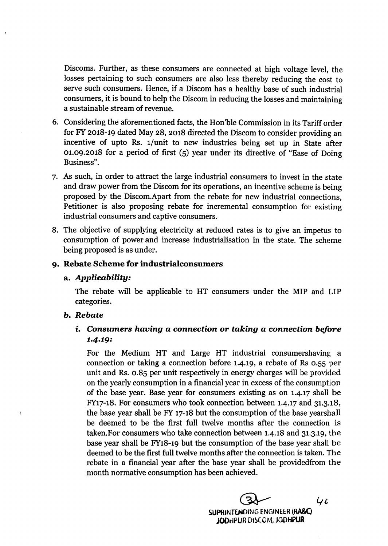Discoms. Further, as these consumers are connected at high voltage level, the losses pertaining to such consumers are also less thereby reducing the cost to serve such consumers. Hence, if a Discom has a healthy base of such industrial consumers, it is bound to help the Discom in reducing the losses and maintaining a sustainable stream of revenue.

- 6. Considering the aforementioned facts, the Hon'ble Commission in its Tariff order for FY 2018-19 dated May 28, 2018 directed the Discom to consider providing an incentive of upto Rs. 1/unit to new industries being set up in State after 01.09.2018 for a period of first (5) year under its directive of "Ease of Doing Business".
- 7. As such, in order to attract the large industrial consumers to invest in the state and draw power from the Discom for its operations, an incentive scheme is being proposed by the Discom.Apart from the rebate for new industrial connections, Petitioner is also proposing rebate for incremental consumption for existing industrial consumers and captive consumers.
- 8. The objective of supplying electricity at reduced rates is to give an impetus to consumption of power and increase industrialisation in the state. The scheme being proposed is as under.

# 9. Rebate Scheme for industrialconsumers

#### a. *Applicability:*

The rebate will be applicable to HT consumers under the MIP and LIP categories.

#### *b. Rebate*

 $\overline{\phantom{a}}$ 

# *i, Consumers having* a *connection or taking* a *connection before* 1·4·19:

For the Medium HT and Large HT industrial consumershaving a connection or taking a connection before 1.4.19, a rebate of Rs 0.55 per unit and Rs. 0.85 per unit respectively in energy charges will be provided on the yearly consumption in a financial year in excess of the consumption of the base year. Base year for consumers existing as on 1.4.17 shall be FY17-18. For consumers who took connection between 1.4.17 and 31.3.18, the base year shall be FY 17-18 but the consumption of the base yearshall be deemed to be the first full twelve months after the connection is taken.For consumers who take connection between 1.4.18 and 31.3.19, the base year shall be FY18-19 but the consumption of the base year shall be deemed to be the first full twelve months after the connection is taken. The rebate in a financial year after the base year shall be providedfrom the month normative consumption has been achieved.

> $46$ ~ SUPRINTENDING ENGINEER (RA&C) JODHPUR DISCOM, JODHPUR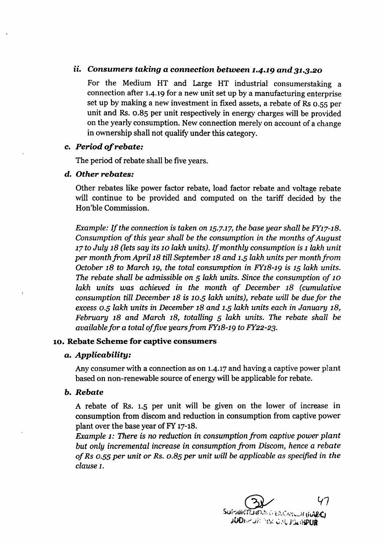#### *ii. Consumers taking* a *connection between* 1.4.19 *and 31.3.20*

For the Medium HT and Large HT industrial consumerstaking a connection after 1.4.19 for a new unit set up by a manufacturing enterprise set up by making a new investment in fixed assets, a rebate of Rs *D.sS* per unit and Rs. *0.85* per unit respectively in energy charges will be provided on the yearly consumption. Newconnection merely on account of a change in ownership shall not qualify under this category.

#### c. *Period of rebate:*

The period of rebate shall be five years.

#### d. *Other rebates:*

Other rebates like power factor rebate, load factor rebate and voltage rebate will continue to be provided and computed on the tariff decided by the Hon'ble Commission.

*Example: If the connection* is *taken* on 15.7.17,*the base year shall be FY17-18. Consumption of this year shall be the consumption* in *the months of August 17 to July* 18 *(lets say its* 10 *lakh units). Ifmonthly consumption* is*t lakli unit per month frcm April iS till September* 18 *and* 1-5*lakh units per monthfrom October* 18 *to March* 19, *the total consumption* in *FY18-19* is 15 *lakh units. The rebate shall be admissible* on 5 *lakh units. Since the consumption of* 10 *lakh units was achieved* in *the month of December* 18 *(cumulative consumption till December* 18 is *10-5 lakh units), rebate will be due/or the excess* 0-5 *lakh units* in *December* 18 *and* 1-5*lakh units each* in *January 18, February* 18 *and March* 18, *totalling* 5 *lakh units. The rebate shall be availablefor* a *total offive yearsfrom FY18-19 to FY22-23.*

# 10. Rebate Scheme for captive consumers

#### a. *Applicability:*

Any consumer with a connection as on 1.4.17 and having a captive power plant based on non-renewable source of energy will be applicable for rebate.

# *b. Rebate*

A rebate of Rs. 1.5 per unit will be given on the lower of increase in consumption from discom and reduction in consumption from captive power plant over the base year of FY 17-18.

*Example* 1: *There* is no *reduction* in *consumption from captive power plant but only incremental increase* in *consumption from Discom, hence* a *rebate of Rs 0.55per unit* or *Rs. 0.85 per unit will be applicable* as *specified* in *the clause 1.*

ひつ SUPPONTED OF A CANCAN LIN (FIARC) JODEW JA MISCO M, JOUNDUR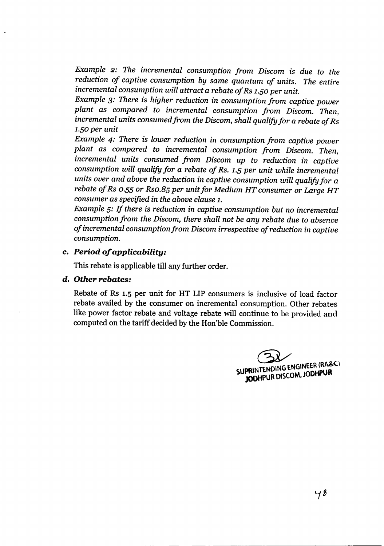*Example* 2: *The incremental consumption from Discom is due to the reduction of captive consumption by same quantum of units. The entire incremental consumption will attract* a *rebate of Rs 1.S0 per unit.*

*Example* 3: *There is higher reduction in consumption from captive power plant as compared to incremental consumption from Discom. Then, incremental units consumedfrom the Discom, shall qualify for* a *rebate of Rs 1.S0per unit*

*Example* 4: *There* is *lower reduction in consumption from captive power plant as compared to incremental consumption from Discom. Then, incremental units consumed from Discom up to reduction in captive consumption will qualify for* a *rebate of Rs. 1.Sper unit while incremental units over and above the reduction in captive consumption will qualifyfor* a *rebate of Rs 0-5S or Rso.Bs per unit for Medium HT consumer or Large HT consumer as specified* in *the above clause 1.*

*Example s: If there is reduction* in *captive consumption but no incremental consumption from the Discom, there shall not be any rebate due to absence of incremental consumption from Discom irrespective of reduction in captive consumption.*

# c. *Period of applicability:*

This rebate is applicable till any further order.

# d. *Other rebates:*

Rebate of Rs 1.5 per unit for HT LIP consumers is inclusive of load factor rebate availed by the consumer on incremental consumption. Other rebates like power factor rebate and voltage rebate will continue *to* be provided and computed on the tariff decided by the Hon'ble Commission.

SUPRINTENDING ENGINEER (RA&C) JODHPUR DISCOM, JODHPUR